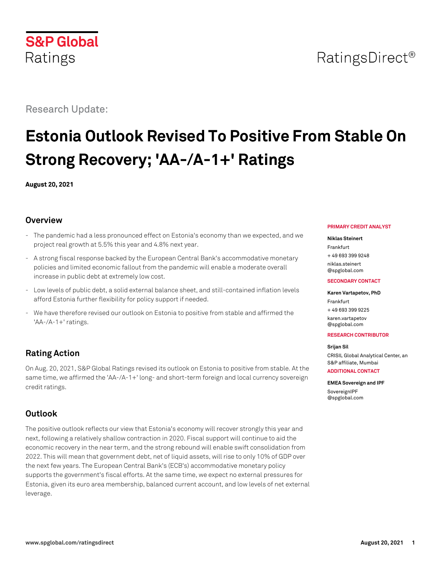

# Research Update:

# **Estonia Outlook Revised To Positive From Stable On Strong Recovery; 'AA-/A-1+' Ratings**

**August 20, 2021**

# **Overview**

- The pandemic had a less pronounced effect on Estonia's economy than we expected, and we project real growth at 5.5% this year and 4.8% next year.
- A strong fiscal response backed by the European Central Bank's accommodative monetary policies and limited economic fallout from the pandemic will enable a moderate overall increase in public debt at extremely low cost.
- Low levels of public debt, a solid external balance sheet, and still-contained inflation levels afford Estonia further flexibility for policy support if needed.
- We have therefore revised our outlook on Estonia to positive from stable and affirmed the 'AA-/A-1+' ratings.

# **Rating Action**

On Aug. 20, 2021, S&P Global Ratings revised its outlook on Estonia to positive from stable. At the same time, we affirmed the 'AA-/A-1+' long- and short-term foreign and local currency sovereign credit ratings.

# **Outlook**

The positive outlook reflects our view that Estonia's economy will recover strongly this year and next, following a relatively shallow contraction in 2020. Fiscal support will continue to aid the economic recovery in the near term, and the strong rebound will enable swift consolidation from 2022. This will mean that government debt, net of liquid assets, will rise to only 10% of GDP over the next few years. The European Central Bank's (ECB's) accommodative monetary policy supports the government's fiscal efforts. At the same time, we expect no external pressures for Estonia, given its euro area membership, balanced current account, and low levels of net external leverage.

#### **PRIMARY CREDIT ANALYST**

#### **Niklas Steinert**

Frankfurt + 49 693 399 9248

[niklas.steinert](mailto:niklas.steinert@spglobal.com) [@spglobal.com](mailto:niklas.steinert@spglobal.com)

#### **SECONDARY CONTACT**

## **Karen Vartapetov, PhD**

Frankfurt + 49 693 399 9225 [karen.vartapetov](mailto:karen.vartapetov@spglobal.com) [@spglobal.com](mailto:karen.vartapetov@spglobal.com)

#### **RESEARCH CONTRIBUTOR**

#### **Srijan Sil**

CRISIL Global Analytical Center, an S&P affiliate, Mumbai **ADDITIONAL CONTACT**

**EMEA Sovereign and IPF** [SovereignIPF](mailto:SovereignIPF@spglobal.com) [@spglobal.com](mailto:SovereignIPF@spglobal.com)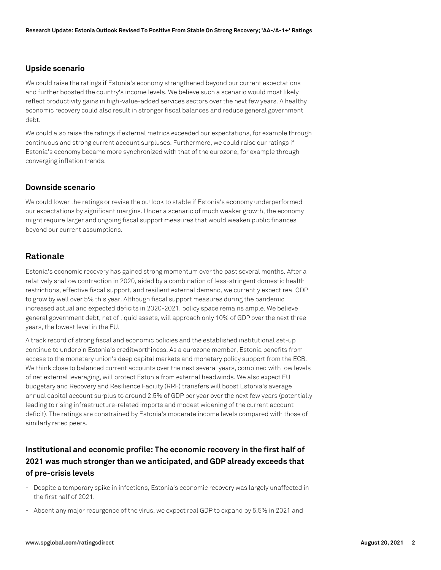## **Upside scenario**

We could raise the ratings if Estonia's economy strengthened beyond our current expectations and further boosted the country's income levels. We believe such a scenario would most likely reflect productivity gains in high-value-added services sectors over the next few years. A healthy economic recovery could also result in stronger fiscal balances and reduce general government debt.

We could also raise the ratings if external metrics exceeded our expectations, for example through continuous and strong current account surpluses. Furthermore, we could raise our ratings if Estonia's economy became more synchronized with that of the eurozone, for example through converging inflation trends.

## **Downside scenario**

We could lower the ratings or revise the outlook to stable if Estonia's economy underperformed our expectations by significant margins. Under a scenario of much weaker growth, the economy might require larger and ongoing fiscal support measures that would weaken public finances beyond our current assumptions.

# **Rationale**

Estonia's economic recovery has gained strong momentum over the past several months. After a relatively shallow contraction in 2020, aided by a combination of less-stringent domestic health restrictions, effective fiscal support, and resilient external demand, we currently expect real GDP to grow by well over 5% this year. Although fiscal support measures during the pandemic increased actual and expected deficits in 2020-2021, policy space remains ample. We believe general government debt, net of liquid assets, will approach only 10% of GDP over the next three years, the lowest level in the EU.

A track record of strong fiscal and economic policies and the established institutional set-up continue to underpin Estonia's creditworthiness. As a eurozone member, Estonia benefits from access to the monetary union's deep capital markets and monetary policy support from the ECB. We think close to balanced current accounts over the next several years, combined with low levels of net external leveraging, will protect Estonia from external headwinds. We also expect EU budgetary and Recovery and Resilience Facility (RRF) transfers will boost Estonia's average annual capital account surplus to around 2.5% of GDP per year over the next few years (potentially leading to rising infrastructure-related imports and modest widening of the current account deficit). The ratings are constrained by Estonia's moderate income levels compared with those of similarly rated peers.

# **Institutional and economic profile: The economic recovery in the first half of 2021 was much stronger than we anticipated, and GDP already exceeds that of pre-crisis levels**

- Despite a temporary spike in infections, Estonia's economic recovery was largely unaffected in the first half of 2021.
- Absent any major resurgence of the virus, we expect real GDP to expand by 5.5% in 2021 and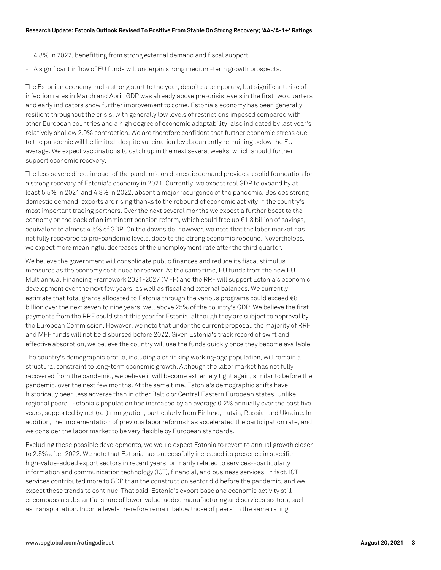4.8% in 2022, benefitting from strong external demand and fiscal support.

- A significant inflow of EU funds will underpin strong medium-term growth prospects.

The Estonian economy had a strong start to the year, despite a temporary, but significant, rise of infection rates in March and April. GDP was already above pre-crisis levels in the first two quarters and early indicators show further improvement to come. Estonia's economy has been generally resilient throughout the crisis, with generally low levels of restrictions imposed compared with other European countries and a high degree of economic adaptability, also indicated by last year's relatively shallow 2.9% contraction. We are therefore confident that further economic stress due to the pandemic will be limited, despite vaccination levels currently remaining below the EU average. We expect vaccinations to catch up in the next several weeks, which should further support economic recovery.

The less severe direct impact of the pandemic on domestic demand provides a solid foundation for a strong recovery of Estonia's economy in 2021. Currently, we expect real GDP to expand by at least 5.5% in 2021 and 4.8% in 2022, absent a major resurgence of the pandemic. Besides strong domestic demand, exports are rising thanks to the rebound of economic activity in the country's most important trading partners. Over the next several months we expect a further boost to the economy on the back of an imminent pension reform, which could free up  $\epsilon$ 1.3 billion of savings, equivalent to almost 4.5% of GDP. On the downside, however, we note that the labor market has not fully recovered to pre-pandemic levels, despite the strong economic rebound. Nevertheless, we expect more meaningful decreases of the unemployment rate after the third quarter.

We believe the government will consolidate public finances and reduce its fiscal stimulus measures as the economy continues to recover. At the same time, EU funds from the new EU Multiannual Financing Framework 2021-2027 (MFF) and the RRF will support Estonia's economic development over the next few years, as well as fiscal and external balances. We currently estimate that total grants allocated to Estonia through the various programs could exceed  $\epsilon$ 8 billion over the next seven to nine years, well above 25% of the country's GDP. We believe the first payments from the RRF could start this year for Estonia, although they are subject to approval by the European Commission. However, we note that under the current proposal, the majority of RRF and MFF funds will not be disbursed before 2022. Given Estonia's track record of swift and effective absorption, we believe the country will use the funds quickly once they become available.

The country's demographic profile, including a shrinking working-age population, will remain a structural constraint to long-term economic growth. Although the labor market has not fully recovered from the pandemic, we believe it will become extremely tight again, similar to before the pandemic, over the next few months. At the same time, Estonia's demographic shifts have historically been less adverse than in other Baltic or Central Eastern European states. Unlike regional peers', Estonia's population has increased by an average 0.2% annually over the past five years, supported by net (re-)immigration, particularly from Finland, Latvia, Russia, and Ukraine. In addition, the implementation of previous labor reforms has accelerated the participation rate, and we consider the labor market to be very flexible by European standards.

Excluding these possible developments, we would expect Estonia to revert to annual growth closer to 2.5% after 2022. We note that Estonia has successfully increased its presence in specific high-value-added export sectors in recent years, primarily related to services--particularly information and communication technology (ICT), financial, and business services. In fact, ICT services contributed more to GDP than the construction sector did before the pandemic, and we expect these trends to continue. That said, Estonia's export base and economic activity still encompass a substantial share of lower-value-added manufacturing and services sectors, such as transportation. Income levels therefore remain below those of peers' in the same rating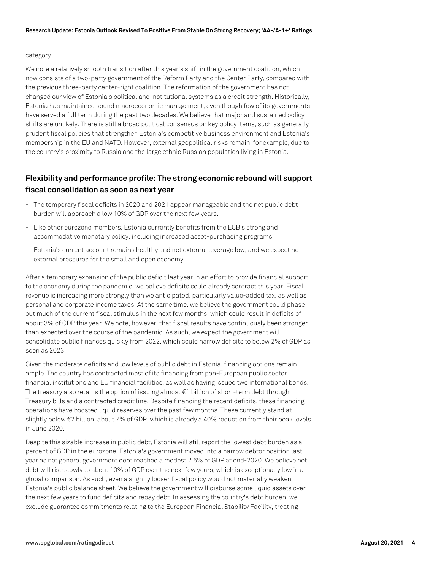#### category.

We note a relatively smooth transition after this year's shift in the government coalition, which now consists of a two-party government of the Reform Party and the Center Party, compared with the previous three-party center-right coalition. The reformation of the government has not changed our view of Estonia's political and institutional systems as a credit strength. Historically, Estonia has maintained sound macroeconomic management, even though few of its governments have served a full term during the past two decades. We believe that major and sustained policy shifts are unlikely. There is still a broad political consensus on key policy items, such as generally prudent fiscal policies that strengthen Estonia's competitive business environment and Estonia's membership in the EU and NATO. However, external geopolitical risks remain, for example, due to the country's proximity to Russia and the large ethnic Russian population living in Estonia.

# **Flexibility and performance profile: The strong economic rebound will support fiscal consolidation as soon as next year**

- The temporary fiscal deficits in 2020 and 2021 appear manageable and the net public debt burden will approach a low 10% of GDP over the next few years.
- Like other eurozone members, Estonia currently benefits from the ECB's strong and accommodative monetary policy, including increased asset-purchasing programs.
- Estonia's current account remains healthy and net external leverage low, and we expect no external pressures for the small and open economy.

After a temporary expansion of the public deficit last year in an effort to provide financial support to the economy during the pandemic, we believe deficits could already contract this year. Fiscal revenue is increasing more strongly than we anticipated, particularly value-added tax, as well as personal and corporate income taxes. At the same time, we believe the government could phase out much of the current fiscal stimulus in the next few months, which could result in deficits of about 3% of GDP this year. We note, however, that fiscal results have continuously been stronger than expected over the course of the pandemic. As such, we expect the government will consolidate public finances quickly from 2022, which could narrow deficits to below 2% of GDP as soon as 2023.

Given the moderate deficits and low levels of public debt in Estonia, financing options remain ample. The country has contracted most of its financing from pan-European public sector financial institutions and EU financial facilities, as well as having issued two international bonds. The treasury also retains the option of issuing almost €1 billion of short-term debt through Treasury bills and a contracted credit line. Despite financing the recent deficits, these financing operations have boosted liquid reserves over the past few months. These currently stand at slightly below €2 billion, about 7% of GDP, which is already a 40% reduction from their peak levels in June 2020.

Despite this sizable increase in public debt, Estonia will still report the lowest debt burden as a percent of GDP in the eurozone. Estonia's government moved into a narrow debtor position last year as net general government debt reached a modest 2.6% of GDP at end-2020. We believe net debt will rise slowly to about 10% of GDP over the next few years, which is exceptionally low in a global comparison. As such, even a slightly looser fiscal policy would not materially weaken Estonia's public balance sheet. We believe the government will disburse some liquid assets over the next few years to fund deficits and repay debt. In assessing the country's debt burden, we exclude guarantee commitments relating to the European Financial Stability Facility, treating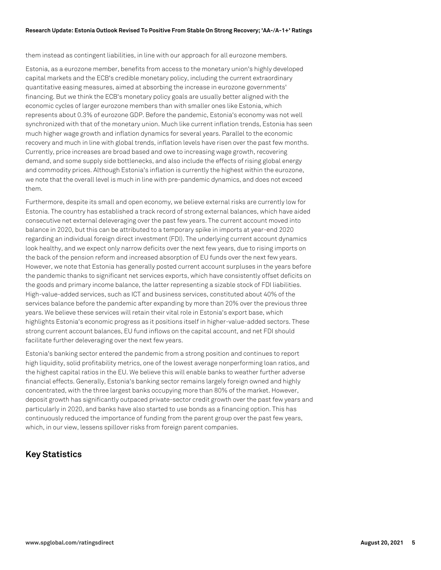#### **Research Update: Estonia Outlook Revised To Positive From Stable On Strong Recovery; 'AA-/A-1+' Ratings**

them instead as contingent liabilities, in line with our approach for all eurozone members.

Estonia, as a eurozone member, benefits from access to the monetary union's highly developed capital markets and the ECB's credible monetary policy, including the current extraordinary quantitative easing measures, aimed at absorbing the increase in eurozone governments' financing. But we think the ECB's monetary policy goals are usually better aligned with the economic cycles of larger eurozone members than with smaller ones like Estonia, which represents about 0.3% of eurozone GDP. Before the pandemic, Estonia's economy was not well synchronized with that of the monetary union. Much like current inflation trends, Estonia has seen much higher wage growth and inflation dynamics for several years. Parallel to the economic recovery and much in line with global trends, inflation levels have risen over the past few months. Currently, price increases are broad based and owe to increasing wage growth, recovering demand, and some supply side bottlenecks, and also include the effects of rising global energy and commodity prices. Although Estonia's inflation is currently the highest within the eurozone, we note that the overall level is much in line with pre-pandemic dynamics, and does not exceed them.

Furthermore, despite its small and open economy, we believe external risks are currently low for Estonia. The country has established a track record of strong external balances, which have aided consecutive net external deleveraging over the past few years. The current account moved into balance in 2020, but this can be attributed to a temporary spike in imports at year-end 2020 regarding an individual foreign direct investment (FDI). The underlying current account dynamics look healthy, and we expect only narrow deficits over the next few years, due to rising imports on the back of the pension reform and increased absorption of EU funds over the next few years. However, we note that Estonia has generally posted current account surpluses in the years before the pandemic thanks to significant net services exports, which have consistently offset deficits on the goods and primary income balance, the latter representing a sizable stock of FDI liabilities. High-value-added services, such as ICT and business services, constituted about 40% of the services balance before the pandemic after expanding by more than 20% over the previous three years. We believe these services will retain their vital role in Estonia's export base, which highlights Estonia's economic progress as it positions itself in higher-value-added sectors. These strong current account balances, EU fund inflows on the capital account, and net FDI should facilitate further deleveraging over the next few years.

Estonia's banking sector entered the pandemic from a strong position and continues to report high liquidity, solid profitability metrics, one of the lowest average nonperforming loan ratios, and the highest capital ratios in the EU. We believe this will enable banks to weather further adverse financial effects. Generally, Estonia's banking sector remains largely foreign owned and highly concentrated, with the three largest banks occupying more than 80% of the market. However, deposit growth has significantly outpaced private-sector credit growth over the past few years and particularly in 2020, and banks have also started to use bonds as a financing option. This has continuously reduced the importance of funding from the parent group over the past few years, which, in our view, lessens spillover risks from foreign parent companies.

# **Key Statistics**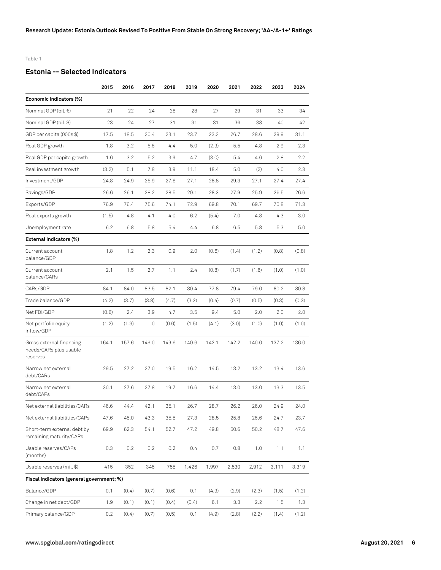Table 1

## **Estonia -- Selected Indicators**

|                                                                | 2015  | 2016  | 2017  | 2018  | 2019  | 2020  | 2021  | 2022  | 2023  | 2024    |
|----------------------------------------------------------------|-------|-------|-------|-------|-------|-------|-------|-------|-------|---------|
| Economic indicators (%)                                        |       |       |       |       |       |       |       |       |       |         |
| Nominal GDP (bil. €)                                           | 21    | 22    | 24    | 26    | 28    | 27    | 29    | 31    | 33    | 34      |
| Nominal GDP (bil. \$)                                          | 23    | 24    | 27    | 31    | 31    | 31    | 36    | 38    | 40    | 42      |
| GDP per capita (000s \$)                                       | 17.5  | 18.5  | 20.4  | 23.1  | 23.7  | 23.3  | 26.7  | 28.6  | 29.9  | 31.1    |
| Real GDP growth                                                | 1.8   | 3.2   | 5.5   | 4.4   | 5.0   | (2.9) | 5.5   | 4.8   | 2.9   | 2.3     |
| Real GDP per capita growth                                     | 1.6   | 3.2   | 5.2   | 3.9   | 4.7   | (3.0) | 5.4   | 4.6   | 2.8   | $2.2\,$ |
| Real investment growth                                         | (3.2) | 5.1   | 7.8   | 3.9   | 11.1  | 18.4  | 5.0   | (2)   | 4.0   | 2.3     |
| Investment/GDP                                                 | 24.8  | 24.9  | 25.9  | 27.6  | 27.1  | 28.8  | 29.3  | 27.1  | 27.4  | 27.4    |
| Savings/GDP                                                    | 26.6  | 26.1  | 28.2  | 28.5  | 29.1  | 28.3  | 27.9  | 25.9  | 26.5  | 26.6    |
| Exports/GDP                                                    | 76.9  | 76.4  | 75.6  | 74.1  | 72.9  | 69.8  | 70.1  | 69.7  | 70.8  | 71.3    |
| Real exports growth                                            | (1.5) | 4.8   | 4.1   | 4.0   | 6.2   | (5.4) | 7.0   | 4.8   | 4.3   | 3.0     |
| Unemployment rate                                              | 6.2   | 6.8   | 5.8   | 5.4   | 4.4   | 6.8   | 6.5   | 5.8   | 5.3   | 5.0     |
| External indicators (%)                                        |       |       |       |       |       |       |       |       |       |         |
| Current account<br>balance/GDP                                 | 1.8   | 1.2   | 2.3   | 0.9   | 2.0   | (0.6) | (1.4) | (1.2) | (0.8) | (0.8)   |
| Current account<br>balance/CARs                                | 2.1   | 1.5   | 2.7   | 1.1   | 2.4   | (0.8) | (1.7) | (1.6) | (1.0) | (1.0)   |
| CARs/GDP                                                       | 84.1  | 84.0  | 83.5  | 82.1  | 80.4  | 77.8  | 79.4  | 79.0  | 80.2  | 80.8    |
| Trade balance/GDP                                              | (4.2) | (3.7) | (3.8) | (4.7) | (3.2) | (0.4) | (0.7) | (0.5) | (0.3) | (0.3)   |
| Net FDI/GDP                                                    | (0.6) | 2.4   | 3.9   | 4.7   | 3.5   | 9.4   | 5.0   | 2.0   | 2.0   | 2.0     |
| Net portfolio equity<br>inflow/GDP                             | (1.2) | (1.3) | 0     | (0.6) | (1.5) | (4.1) | (3.0) | (1.0) | (1.0) | (1.0)   |
| Gross external financing<br>needs/CARs plus usable<br>reserves | 164.1 | 157.6 | 149.0 | 149.6 | 140.6 | 142.1 | 142.2 | 140.0 | 137.2 | 136.0   |
| Narrow net external<br>debt/CARs                               | 29.5  | 27.2  | 27.0  | 19.5  | 16.2  | 14.5  | 13.2  | 13.2  | 13.4  | 13.6    |
| Narrow net external<br>debt/CAPs                               | 30.1  | 27.6  | 27.8  | 19.7  | 16.6  | 14.4  | 13.0  | 13.0  | 13.3  | 13.5    |
| Net external liabilities/CARs                                  | 46.6  | 44.4  | 42.1  | 35.1  | 26.7  | 28.7  | 26.2  | 26.0  | 24.9  | 24.0    |
| Net external liabilities/CAPs                                  | 47.6  | 45.0  | 43.3  | 35.5  | 27.3  | 28.5  | 25.8  | 25.6  | 24.7  | 23.7    |
| Short-term external debt by<br>remaining maturity/CARs         | 69.9  | 62.3  | 54.1  | 52.7  | 47.2  | 49.8  | 50.6  | 50.2  | 48.7  | 47.6    |
| Usable reserves/CAPs<br>(months)                               | 0.3   | 0.2   | 0.2   | 0.2   | 0.4   | 0.7   | 0.8   | 1.0   | 1.1   | 1.1     |
| Usable reserves (mil. \$)                                      | 415   | 352   | 345   | 755   | 1,426 | 1,997 | 2,530 | 2,912 | 3,111 | 3,319   |
| Fiscal indicators (general government; %)                      |       |       |       |       |       |       |       |       |       |         |
| Balance/GDP                                                    | 0.1   | (0.4) | (0.7) | (0.6) | 0.1   | (4.9) | (2.9) | (2.3) | (1.5) | (1.2)   |
| Change in net debt/GDP                                         | 1.9   | (0.1) | (0.1) | (0.4) | (0.4) | 6.1   | 3.3   | 2.2   | 1.5   | 1.3     |
| Primary balance/GDP                                            | 0.2   | (0.4) | (0.7) | (0.5) | 0.1   | (4.9) | (2.8) | (2.2) | (1.4) | (1.2)   |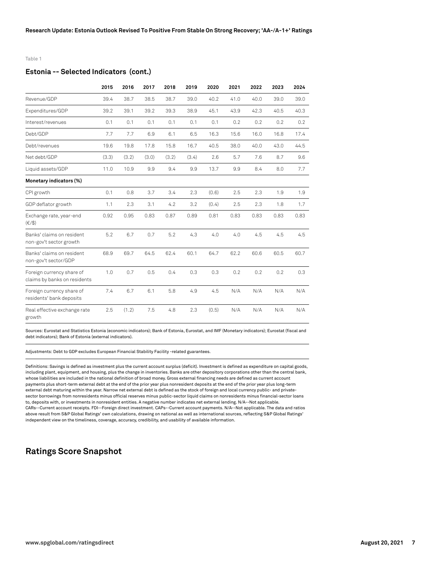#### Table 1

#### **Estonia -- Selected Indicators (cont.)**

|                                                           | 2015  | 2016  | 2017  | 2018  | 2019  | 2020  | 2021 | 2022 | 2023 | 2024 |
|-----------------------------------------------------------|-------|-------|-------|-------|-------|-------|------|------|------|------|
| Revenue/GDP                                               | 39.4  | 38.7  | 38.5  | 38.7  | 39.0  | 40.2  | 41.0 | 40.0 | 39.0 | 39.0 |
| Expenditures/GDP                                          | 39.2  | 39.1  | 39.2  | 39.3  | 38.9  | 45.1  | 43.9 | 42.3 | 40.5 | 40.3 |
| Interest/revenues                                         | 0.1   | 0.1   | 0.1   | 0.1   | 0.1   | 0.1   | 0.2  | 0.2  | 0.2  | 0.2  |
| Debt/GDP                                                  | 7.7   | 7.7   | 6.9   | 6.1   | 6.5   | 16.3  | 15.6 | 16.0 | 16.8 | 17.4 |
| Debt/revenues                                             | 19.6  | 19.8  | 17.8  | 15.8  | 16.7  | 40.5  | 38.0 | 40.0 | 43.0 | 44.5 |
| Net debt/GDP                                              | (3.3) | (3.2) | (3.0) | (3.2) | (3.4) | 2.6   | 5.7  | 7.6  | 8.7  | 9.6  |
| Liquid assets/GDP                                         | 11.0  | 10.9  | 9.9   | 9.4   | 9.9   | 13.7  | 9.9  | 8.4  | 8.0  | 7.7  |
| Monetary indicators (%)                                   |       |       |       |       |       |       |      |      |      |      |
| CPI growth                                                | 0.1   | 0.8   | 3.7   | 3.4   | 2.3   | (0.6) | 2.5  | 2.3  | 1.9  | 1.9  |
| GDP deflator growth                                       | 1.1   | 2.3   | 3.1   | 4.2   | 3.2   | (0.4) | 2.5  | 2.3  | 1.8  | 1.7  |
| Exchange rate, year-end<br>$(\in/3)$                      | 0.92  | 0.95  | 0.83  | 0.87  | 0.89  | 0.81  | 0.83 | 0.83 | 0.83 | 0.83 |
| Banks' claims on resident<br>non-gov't sector growth      | 5.2   | 6.7   | 0.7   | 5.2   | 4.3   | 4.0   | 4.0  | 4.5  | 4.5  | 4.5  |
| Banks' claims on resident<br>non-gov't sector/GDP         | 68.9  | 69.7  | 64.5  | 62.4  | 60.1  | 64.7  | 62.2 | 60.6 | 60.5 | 60.7 |
| Foreign currency share of<br>claims by banks on residents | 1.0   | 0.7   | 0.5   | 0.4   | 0.3   | 0.3   | 0.2  | 0.2  | 0.2  | 0.3  |
| Foreign currency share of<br>residents' bank deposits     | 7.4   | 6.7   | 6.1   | 5.8   | 4.9   | 4.5   | N/A  | N/A  | N/A  | N/A  |
| Real effective exchange rate<br>growth                    | 2.5   | (1.2) | 7.5   | 4.8   | 2.3   | (0.5) | N/A  | N/A  | N/A  | N/A  |

Sources: Eurostat and Statistics Estonia (economic indicators); Bank of Estonia, Eurostat, and IMF (Monetary indicators); Eurostat (fiscal and debt indicators); Bank of Estonia (external indicators).

Adjustments: Debt to GDP excludes European Financial Stability Facility -related guarantees.

Definitions: Savings is defined as investment plus the current account surplus (deficit). Investment is defined as expenditure on capital goods, including plant, equipment, and housing, plus the change in inventories. Banks are other depository corporations other than the central bank, whose liabilities are included in the national definition of broad money. Gross external financing needs are defined as current account payments plus short-term external debt at the end of the prior year plus nonresident deposits at the end of the prior year plus long-term external debt maturing within the year. Narrow net external debt is defined as the stock of foreign and local currency public- and privatesector borrowings from nonresidents minus official reserves minus public-sector liquid claims on nonresidents minus financial-sector loans to, deposits with, or investments in nonresident entities. A negative number indicates net external lending. N/A--Not applicable. CARs--Current account receipts. FDI--Foreign direct investment. CAPs--Current account payments. N/A--Not applicable. The data and ratios above result from S&P Global Ratings' own calculations, drawing on national as well as international sources, reflecting S&P Global Ratings' independent view on the timeliness, coverage, accuracy, credibility, and usability of available information.

# **Ratings Score Snapshot**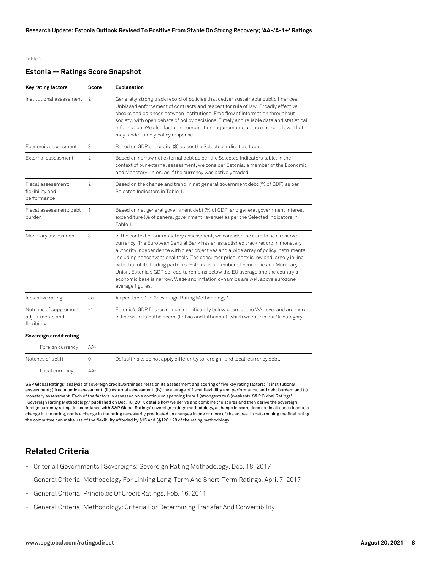#### Table 2

#### **Estonia -- Ratings Score Snapshot**

| Key rating factors                                        | Score          | Explanation                                                                                                                                                                                                                                                                                                                                                                                                                                                                                                                                                                                                                 |
|-----------------------------------------------------------|----------------|-----------------------------------------------------------------------------------------------------------------------------------------------------------------------------------------------------------------------------------------------------------------------------------------------------------------------------------------------------------------------------------------------------------------------------------------------------------------------------------------------------------------------------------------------------------------------------------------------------------------------------|
| Institutional assessment                                  | $\mathcal{P}$  | Generally strong track record of policies that deliver sustainable public finances.<br>Unbiased enforcement of contracts and respect for rule of law. Broadly effective<br>checks and balances between institutions. Free flow of information throughout<br>society, with open debate of policy decisions. Timely and reliable data and statistical<br>information. We also factor in coordination requirements at the eurozone level that<br>may hinder timely policy response.                                                                                                                                            |
| Fconomic assessment                                       | 3              | Based on GDP per capita (\$) as per the Selected Indicators table.                                                                                                                                                                                                                                                                                                                                                                                                                                                                                                                                                          |
| External assessment                                       | $\mathcal{P}$  | Based on narrow net external debt as per the Selected Indicators table. In the<br>context of our external assessment, we consider Estonia, a member of the Economic<br>and Monetary Union, as if the currency was actively traded.                                                                                                                                                                                                                                                                                                                                                                                          |
| Fiscal assessment:<br>flexibility and<br>performance      | $\mathfrak{p}$ | Based on the change and trend in net general government debt (% of GDP) as per<br>Selected Indicators in Table 1.                                                                                                                                                                                                                                                                                                                                                                                                                                                                                                           |
| Fiscal assessment: debt<br>burden                         | 1              | Based on net general government debt (% of GDP) and general government interest<br>expenditure (% of general government revenue) as per the Selected Indicators in<br>Table 1.                                                                                                                                                                                                                                                                                                                                                                                                                                              |
| Monetary assessment                                       | 3              | In the context of our monetary assessment, we consider the euro to be a reserve<br>currency. The European Central Bank has an established track record in monetary<br>authority independence with clear objectives and a wide array of policy instruments,<br>including nonconventional tools. The consumer price index is low and largely in line<br>with that of its trading partners. Estonia is a member of Economic and Monetary<br>Union. Estonia's GDP per capita remains below the EU average and the country's<br>economic base is narrow. Wage and inflation dynamics are well above eurozone<br>average figures. |
| Indicative rating                                         | aa             | As per Table 1 of "Sovereign Rating Methodology."                                                                                                                                                                                                                                                                                                                                                                                                                                                                                                                                                                           |
| Notches of supplemental<br>adjustments and<br>flexibility | $-1$           | Estonia's GDP figures remain significantly below peers at the 'AA' level and are more<br>in line with its Baltic peers' (Latvia and Lithuania), which we rate in our 'A' category.                                                                                                                                                                                                                                                                                                                                                                                                                                          |
| Sovereign credit rating                                   |                |                                                                                                                                                                                                                                                                                                                                                                                                                                                                                                                                                                                                                             |
| Foreign currency                                          | $AA-$          |                                                                                                                                                                                                                                                                                                                                                                                                                                                                                                                                                                                                                             |
| Notches of uplift                                         | 0              | Default risks do not apply differently to foreign- and local-currency debt.                                                                                                                                                                                                                                                                                                                                                                                                                                                                                                                                                 |
| Local currency                                            | $AA-$          |                                                                                                                                                                                                                                                                                                                                                                                                                                                                                                                                                                                                                             |

S&P Global Ratings' analysis of sovereign creditworthiness rests on its assessment and scoring of five key rating factors: (i) institutional assessment; (ii) economic assessment; (iii) external assessment; (iv) the average of fiscal flexibility and performance, and debt burden; and (v) monetary assessment. Each of the factors is assessed on a continuum spanning from 1 (strongest) to 6 (weakest). S&P Global Ratings' "Sovereign Rating Methodology," published on Dec. 18, 2017, details how we derive and combine the scores and then derive the sovereign foreign currency rating. In accordance with S&P Global Ratings' sovereign ratings methodology, a change in score does not in all cases lead to a change in the rating, nor is a change in the rating necessarily predicated on changes in one or more of the scores. In determining the final rating the committee can make use of the flexibility afforded by §15 and §§126-128 of the rating methodology.

# **Related Criteria**

- Criteria | Governments | Sovereigns: Sovereign Rating Methodology, Dec. 18, 2017
- General Criteria: Methodology For Linking Long-Term And Short-Term Ratings, April 7, 2017
- General Criteria: Principles Of Credit Ratings, Feb. 16, 2011
- General Criteria: Methodology: Criteria For Determining Transfer And Convertibility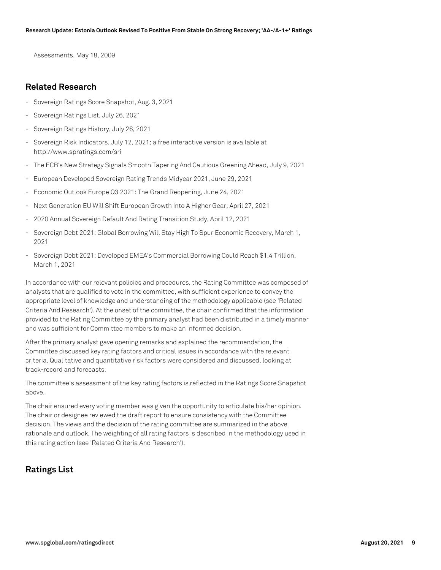Assessments, May 18, 2009

## **Related Research**

- Sovereign Ratings Score Snapshot, Aug. 3, 2021
- Sovereign Ratings List, July 26, 2021
- Sovereign Ratings History, July 26, 2021
- Sovereign Risk Indicators, July 12, 2021; a free interactive version is available at http://www.spratings.com/sri
- The ECB's New Strategy Signals Smooth Tapering And Cautious Greening Ahead, July 9, 2021
- European Developed Sovereign Rating Trends Midyear 2021, June 29, 2021
- Economic Outlook Europe Q3 2021: The Grand Reopening, June 24, 2021
- Next Generation EU Will Shift European Growth Into A Higher Gear, April 27, 2021
- 2020 Annual Sovereign Default And Rating Transition Study, April 12, 2021
- Sovereign Debt 2021: Global Borrowing Will Stay High To Spur Economic Recovery, March 1, 2021
- Sovereign Debt 2021: Developed EMEA's Commercial Borrowing Could Reach \$1.4 Trillion, March 1, 2021

In accordance with our relevant policies and procedures, the Rating Committee was composed of analysts that are qualified to vote in the committee, with sufficient experience to convey the appropriate level of knowledge and understanding of the methodology applicable (see 'Related Criteria And Research'). At the onset of the committee, the chair confirmed that the information provided to the Rating Committee by the primary analyst had been distributed in a timely manner and was sufficient for Committee members to make an informed decision.

After the primary analyst gave opening remarks and explained the recommendation, the Committee discussed key rating factors and critical issues in accordance with the relevant criteria. Qualitative and quantitative risk factors were considered and discussed, looking at track-record and forecasts.

The committee's assessment of the key rating factors is reflected in the Ratings Score Snapshot above.

The chair ensured every voting member was given the opportunity to articulate his/her opinion. The chair or designee reviewed the draft report to ensure consistency with the Committee decision. The views and the decision of the rating committee are summarized in the above rationale and outlook. The weighting of all rating factors is described in the methodology used in this rating action (see 'Related Criteria And Research').

# **Ratings List**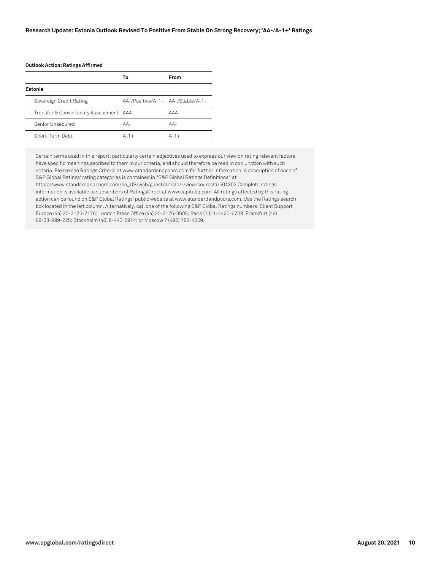#### **Outlook Action; Ratings Affirmed**

|                                          | Т٥                                | From   |
|------------------------------------------|-----------------------------------|--------|
| Estonia                                  |                                   |        |
| Sovereign Credit Rating                  | AA-/Positive/A-1+ AA-/Stable/A-1+ |        |
| Transfer & Convertibility Assessment AAA |                                   | AAA    |
| Senior Unsecured                         | $AA-$                             | $AA-$  |
| Short-Term Debt                          | $A-1+$                            | $A-1+$ |

Certain terms used in this report, particularly certain adjectives used to express our view on rating relevant factors, have specific meanings ascribed to them in our criteria, and should therefore be read in conjunction with such criteria. Please see Ratings Criteria at www.standardandpoors.com for further information. A description of each of S&P Global Ratings' rating categories is contained in "S&P Global Ratings Definitions" at https://www.standardandpoors.com/en\_US/web/guest/article/-/view/sourceId/504352 Complete ratings information is available to subscribers of RatingsDirect at www.capitaliq.com. All ratings affected by this rating action can be found on S&P Global Ratings' public website at www.standardandpoors.com. Use the Ratings search box located in the left column. Alternatively, call one of the following S&P Global Ratings numbers: Client Support Europe (44) 20-7176-7176; London Press Office (44) 20-7176-3605; Paris (33) 1-4420-6708; Frankfurt (49)

69-33-999-225; Stockholm (46) 8-440-5914; or Moscow 7 (495) 783-4009.